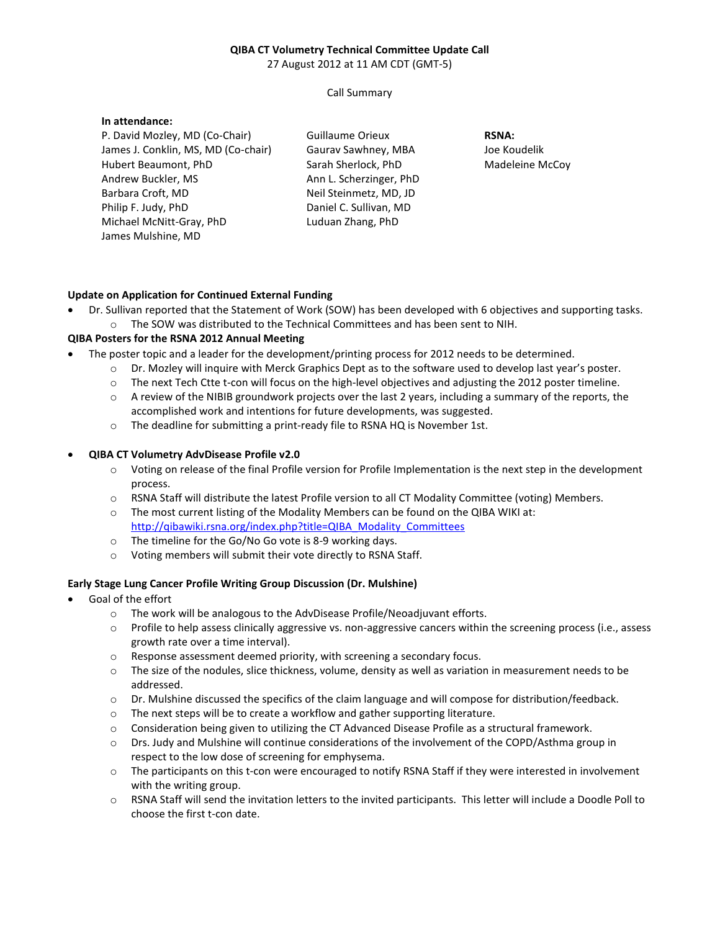# **QIBA CT Volumetry Technical Committee Update Call**

27 August 2012 at 11 AM CDT (GMT-5)

Call Summary

#### **In attendance:**

P. David Mozley, MD (Co-Chair) James J. Conklin, MS, MD (Co-chair) Hubert Beaumont, PhD Andrew Buckler, MS Barbara Croft, MD Philip F. Judy, PhD Michael McNitt-Gray, PhD James Mulshine, MD

Guillaume Orieux Gaurav Sawhney, MBA Sarah Sherlock, PhD Ann L. Scherzinger, PhD Neil Steinmetz, MD, JD Daniel C. Sullivan, MD Luduan Zhang, PhD

**RSNA:**  Joe Koudelik Madeleine McCoy

## **Update on Application for Continued External Funding**

• Dr. Sullivan reported that the Statement of Work (SOW) has been developed with 6 objectives and supporting tasks. o The SOW was distributed to the Technical Committees and has been sent to NIH.

# **QIBA Posters for the RSNA 2012 Annual Meeting**

- The poster topic and a leader for the development/printing process for 2012 needs to be determined.
	- o Dr. Mozley will inquire with Merck Graphics Dept as to the software used to develop last year's poster.
	- o The next Tech Ctte t-con will focus on the high-level objectives and adjusting the 2012 poster timeline.
	- $\circ$  A review of the NIBIB groundwork projects over the last 2 years, including a summary of the reports, the accomplished work and intentions for future developments, was suggested.
	- o The deadline for submitting a print-ready file to RSNA HQ is November 1st.

## • **QIBA CT Volumetry AdvDisease Profile v2.0**

- o Voting on release of the final Profile version for Profile Implementation is the next step in the development process.
- o RSNA Staff will distribute the latest Profile version to all CT Modality Committee (voting) Members.
- $\circ$  The most current listing of the Modality Members can be found on the QIBA WIKI at: http://qibawiki.rsna.org/index.php?title=QIBA\_Modality\_Committees
- o The timeline for the Go/No Go vote is 8-9 working days.
- o Voting members will submit their vote directly to RSNA Staff.

# **Early Stage Lung Cancer Profile Writing Group Discussion (Dr. Mulshine)**

- Goal of the effort
	- o The work will be analogous to the AdvDisease Profile/Neoadjuvant efforts.
	- o Profile to help assess clinically aggressive vs. non-aggressive cancers within the screening process (i.e., assess growth rate over a time interval).
	- o Response assessment deemed priority, with screening a secondary focus.
	- o The size of the nodules, slice thickness, volume, density as well as variation in measurement needs to be addressed.
	- o Dr. Mulshine discussed the specifics of the claim language and will compose for distribution/feedback.
	- o The next steps will be to create a workflow and gather supporting literature.
	- o Consideration being given to utilizing the CT Advanced Disease Profile as a structural framework.
	- o Drs. Judy and Mulshine will continue considerations of the involvement of the COPD/Asthma group in respect to the low dose of screening for emphysema.
	- o The participants on this t-con were encouraged to notify RSNA Staff if they were interested in involvement with the writing group.
	- o RSNA Staff will send the invitation letters to the invited participants. This letter will include a Doodle Poll to choose the first t-con date.